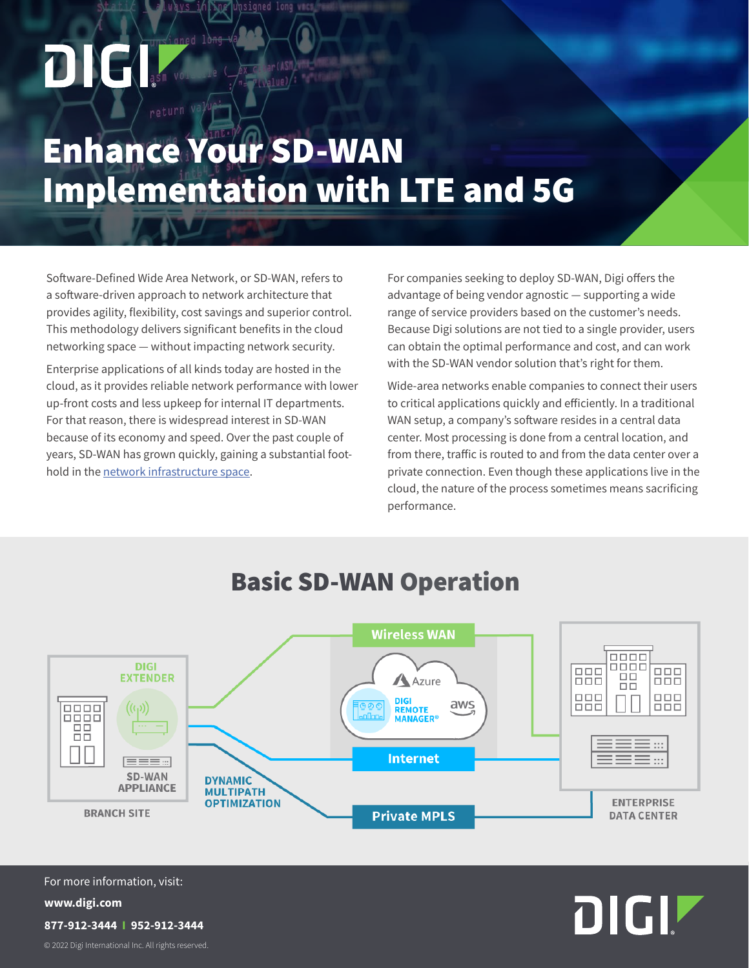# DINE(I

### Enhance Your SD-WAN Implementation with LTE and 5G

ed long wm

Software-Defined Wide Area Network, or SD-WAN, refers to a software-driven approach to network architecture that provides agility, flexibility, cost savings and superior control. This methodology delivers significant benefits in the cloud networking space — without impacting network security.

Enterprise applications of all kinds today are hosted in the cloud, as it provides reliable network performance with lower up-front costs and less upkeep for internal IT departments. For that reason, there is widespread interest in SD-WAN because of its economy and speed. Over the past couple of years, SD-WAN has grown quickly, gaining a substantial foothold in the [network infrastructure space](https://www.sdxcentral.com/networking/sd-wan/definitions/software-defined-sdn-wan/).

For companies seeking to deploy SD-WAN, Digi offers the advantage of being vendor agnostic — supporting a wide range of service providers based on the customer's needs. Because Digi solutions are not tied to a single provider, users can obtain the optimal performance and cost, and can work with the SD-WAN vendor solution that's right for them.

Wide-area networks enable companies to connect their users to critical applications quickly and efficiently. In a traditional WAN setup, a company's software resides in a central data center. Most processing is done from a central location, and from there, traffic is routed to and from the data center over a private connection. Even though these applications live in the cloud, the nature of the process sometimes means sacrificing performance.



#### Basic SD-WAN Operation

© 2022 Digi International Inc. All rights reserved. **www.digi.com 877-912-3444 I 952-912-3444** For more information, visit: